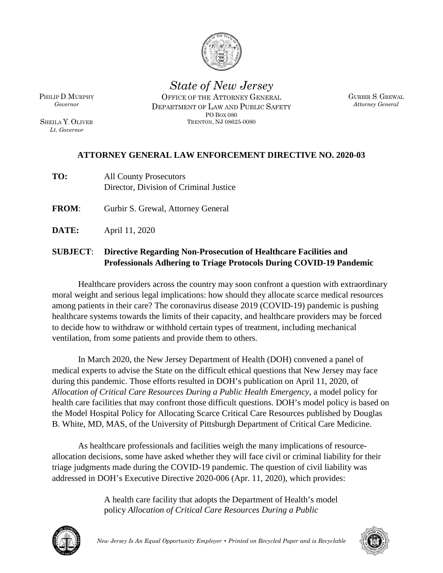

*State of New Jersey* OFFICE OF THE ATTORNEY GENERAL DEPARTMENT OF LAW AND PUBLIC SAFETY

> PO BOX 080 TRENTON, NJ 08625-0080

GURBIR S. GREWAL *Attorney General*

PHILIP D.MURPHY *Governor*

SHEILA Y. OLIVER *Lt. Governor*

## **ATTORNEY GENERAL LAW ENFORCEMENT DIRECTIVE NO. 2020-03**

- **TO:** All County Prosecutors Director, Division of Criminal Justice
- **FROM**: Gurbir S. Grewal, Attorney General
- **DATE:** April 11, 2020

## **SUBJECT**: **Directive Regarding Non-Prosecution of Healthcare Facilities and Professionals Adhering to Triage Protocols During COVID-19 Pandemic**

Healthcare providers across the country may soon confront a question with extraordinary moral weight and serious legal implications: how should they allocate scarce medical resources among patients in their care? The coronavirus disease 2019 (COVID-19) pandemic is pushing healthcare systems towards the limits of their capacity, and healthcare providers may be forced to decide how to withdraw or withhold certain types of treatment, including mechanical ventilation, from some patients and provide them to others.

In March 2020, the New Jersey Department of Health (DOH) convened a panel of medical experts to advise the State on the difficult ethical questions that New Jersey may face during this pandemic. Those efforts resulted in DOH's publication on April 11, 2020, of *Allocation of Critical Care Resources During a Public Health Emergency*, a model policy for health care facilities that may confront those difficult questions. DOH's model policy is based on the Model Hospital Policy for Allocating Scarce Critical Care Resources published by Douglas B. White, MD, MAS, of the University of Pittsburgh Department of Critical Care Medicine.

As healthcare professionals and facilities weigh the many implications of resourceallocation decisions, some have asked whether they will face civil or criminal liability for their triage judgments made during the COVID-19 pandemic. The question of civil liability was addressed in DOH's Executive Directive 2020-006 (Apr. 11, 2020), which provides:

> A health care facility that adopts the Department of Health's model policy *Allocation of Critical Care Resources During a Public*



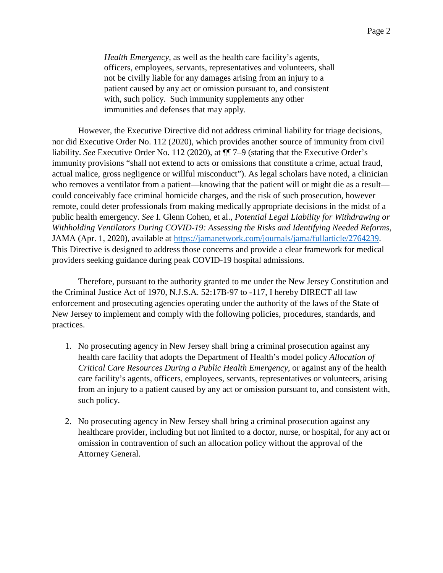*Health Emergency*, as well as the health care facility's agents, officers, employees, servants, representatives and volunteers, shall not be civilly liable for any damages arising from an injury to a patient caused by any act or omission pursuant to, and consistent with, such policy. Such immunity supplements any other immunities and defenses that may apply.

However, the Executive Directive did not address criminal liability for triage decisions, nor did Executive Order No. 112 (2020), which provides another source of immunity from civil liability. *See* Executive Order No. 112 (2020), at ¶¶ 7–9 (stating that the Executive Order's immunity provisions "shall not extend to acts or omissions that constitute a crime, actual fraud, actual malice, gross negligence or willful misconduct"). As legal scholars have noted, a clinician who removes a ventilator from a patient—knowing that the patient will or might die as a result could conceivably face criminal homicide charges, and the risk of such prosecution, however remote, could deter professionals from making medically appropriate decisions in the midst of a public health emergency. *See* I. Glenn Cohen, et al., *Potential Legal Liability for Withdrawing or Withholding Ventilators During COVID-19: Assessing the Risks and Identifying Needed Reforms*, JAMA (Apr. 1, 2020), available at [https://jamanetwork.com/journals/jama/fullarticle/2764239.](https://jamanetwork.com/journals/jama/fullarticle/2764239) This Directive is designed to address those concerns and provide a clear framework for medical providers seeking guidance during peak COVID-19 hospital admissions.

Therefore, pursuant to the authority granted to me under the New Jersey Constitution and the Criminal Justice Act of 1970, N.J.S.A. 52:17B-97 to -117, I hereby DIRECT all law enforcement and prosecuting agencies operating under the authority of the laws of the State of New Jersey to implement and comply with the following policies, procedures, standards, and practices.

- 1. No prosecuting agency in New Jersey shall bring a criminal prosecution against any health care facility that adopts the Department of Health's model policy *Allocation of Critical Care Resources During a Public Health Emergency*, or against any of the health care facility's agents, officers, employees, servants, representatives or volunteers, arising from an injury to a patient caused by any act or omission pursuant to, and consistent with, such policy.
- 2. No prosecuting agency in New Jersey shall bring a criminal prosecution against any healthcare provider, including but not limited to a doctor, nurse, or hospital, for any act or omission in contravention of such an allocation policy without the approval of the Attorney General.